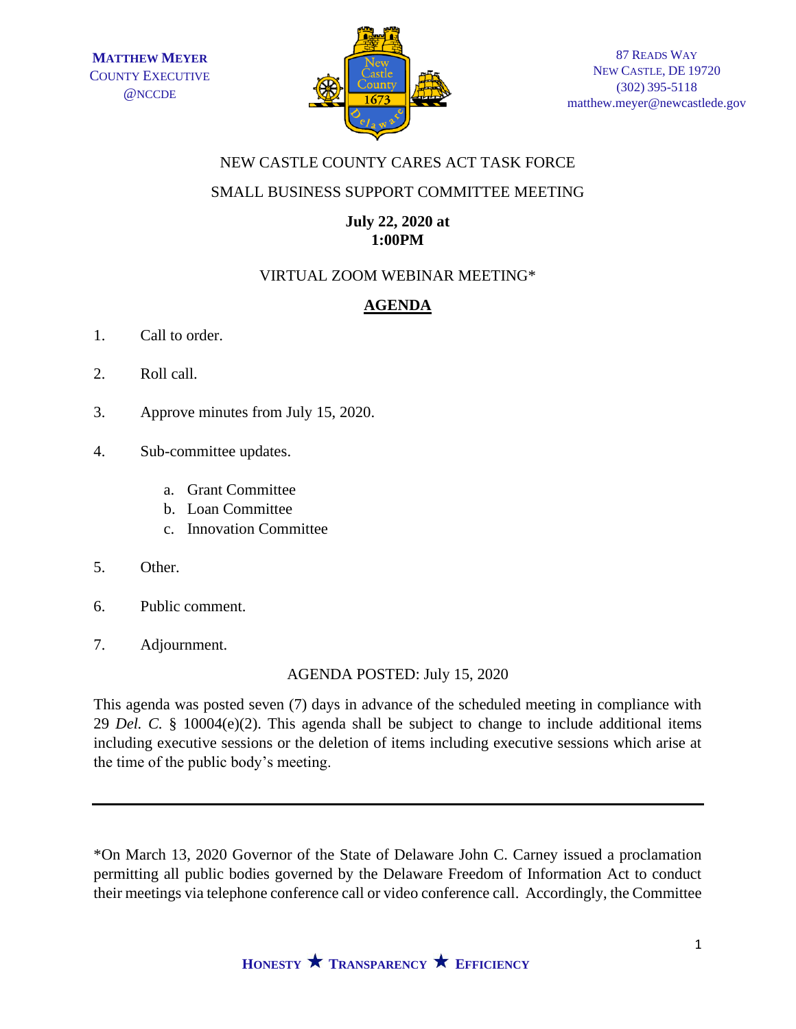

### NEW CASTLE COUNTY CARES ACT TASK FORCE

#### SMALL BUSINESS SUPPORT COMMITTEE MEETING

### **July 22, 2020 at 1:00PM**

## VIRTUAL ZOOM WEBINAR MEETING\*

# **AGENDA**

- 1. Call to order.
- 2. Roll call.
- 3. Approve minutes from July 15, 2020.
- 4. Sub-committee updates.
	- a. Grant Committee
	- b. Loan Committee
	- c. Innovation Committee
- 5. Other.
- 6. Public comment.
- 7. Adjournment.

## AGENDA POSTED: July 15, 2020

This agenda was posted seven (7) days in advance of the scheduled meeting in compliance with 29 *Del. C.* § 10004(e)(2). This agenda shall be subject to change to include additional items including executive sessions or the deletion of items including executive sessions which arise at the time of the public body's meeting.

\*On March 13, 2020 Governor of the State of Delaware John C. Carney issued a proclamation permitting all public bodies governed by the Delaware Freedom of Information Act to conduct their meetings via telephone conference call or video conference call. Accordingly, the Committee